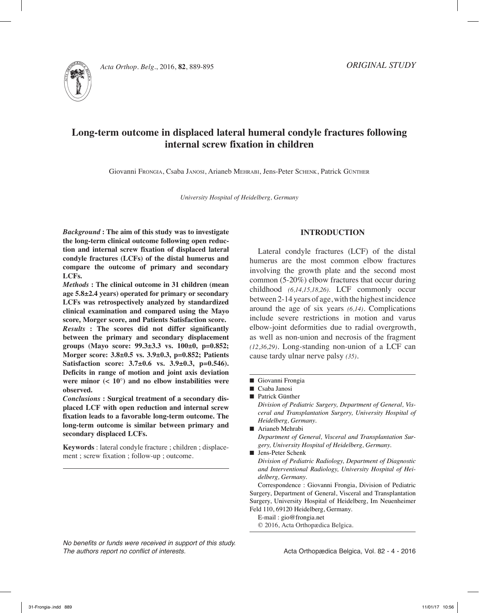

*Acta Orthop. Belg.*, 2016, **82**, 889-895

# **Long-term outcome in displaced lateral humeral condyle fractures following internal screw fixation in children**

Giovanni Frongia, Csaba Janosi, Arianeb Mehrabi, Jens-Peter Schenk, Patrick Günther

*University Hospital of Heidelberg, Germany*

*Background* **: The aim of this study was to investigate the long-term clinical outcome following open reduction and internal screw fixation of displaced lateral condyle fractures (LCFs) of the distal humerus and compare the outcome of primary and secondary LCFs.**

*Methods* **: The clinical outcome in 31 children (mean age 5.8±2.4 years) operated for primary or secondary LCFs was retrospectively analyzed by standardized clinical examination and compared using the Mayo score, Morger score, and Patients Satisfaction score.** *Results* **: The scores did not differ significantly between the primary and secondary displacement groups (Mayo score: 99.3±3.3 vs. 100±0, p=0.852; Morger score: 3.8±0.5 vs. 3.9±0.3, p=0.852; Patients Satisfaction score: 3.7±0.6 vs. 3.9±0.3, p=0.546). Deficits in range of motion and joint axis deviation**  were minor  $( $10^{\circ}$ )$  and no elbow instabilities were **observed.**

*Conclusions* **: Surgical treatment of a secondary displaced LCF with open reduction and internal screw fixation leads to a favorable long-term outcome. The long-term outcome is similar between primary and secondary displaced LCFs.**

**Keywords** : lateral condyle fracture ; children ; displacement ; screw fixation ; follow-up ; outcome.

# **INTRODUCTION**

Lateral condyle fractures (LCF) of the distal humerus are the most common elbow fractures involving the growth plate and the second most common (5-20%) elbow fractures that occur during childhood *(6,14,15,18,26)*. LCF commonly occur between 2-14 years of age, with the highest incidence around the age of six years *(6,14).* Complications include severe restrictions in motion and varus elbow-joint deformities due to radial overgrowth, as well as non-union and necrosis of the fragment *(12,36,29).* Long-standing non-union of a LCF can cause tardy ulnar nerve palsy *(35)*.

- Giovanni Frongia
- $\blacksquare$  Csaba Janosi
- Patrick Günther

*Division of Pediatric Surgery, Department of General, Visceral and Transplantation Surgery, University Hospital of Heidelberg, Germany.*

- Arianeb Mehrabi *Department of General, Visceral and Transplantation Surgery, University Hospital of Heidelberg, Germany.*
- Jens-Peter Schenk

*Division of Pediatric Radiology, Department of Diagnostic and Interventional Radiology, University Hospital of Heidelberg, Germany.*

Correspondence : Giovanni Frongia, Division of Pediatric Surgery, Department of General, Visceral and Transplantation Surgery, University Hospital of Heidelberg, Im Neuenheimer Feld 110, 69120 Heidelberg, Germany.

E-mail : gio@frongia.net

© 2016, Acta Orthopædica Belgica.

*No benefits or funds were received in support of this study. The authors report no conflict of interests.*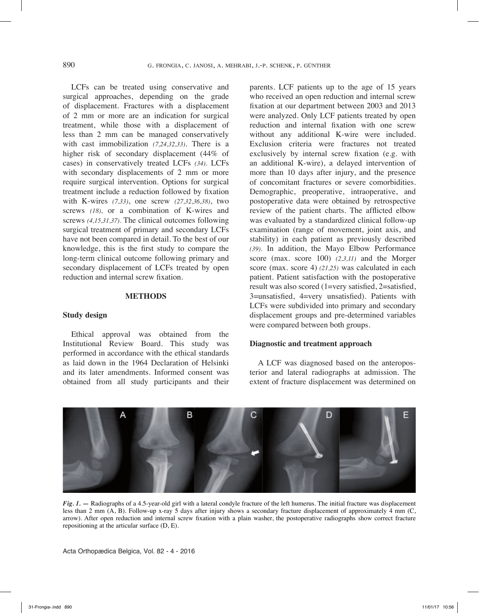LCFs can be treated using conservative and surgical approaches, depending on the grade of displacement. Fractures with a displacement of 2 mm or more are an indication for surgical treatment, while those with a displacement of less than 2 mm can be managed conservatively with cast immobilization *(7,24,32,33)*. There is a higher risk of secondary displacement (44% of cases) in conservatively treated LCFs *(34)*. LCFs with secondary displacements of 2 mm or more require surgical intervention. Options for surgical treatment include a reduction followed by fixation with K-wires *(7,33)*, one screw *(27,32,36,38)*, two screws *(18)*, or a combination of K-wires and screws *(4,15,31,37)*. The clinical outcomes following surgical treatment of primary and secondary LCFs have not been compared in detail. To the best of our knowledge, this is the first study to compare the long-term clinical outcome following primary and secondary displacement of LCFs treated by open reduction and internal screw fixation.

#### **METHODS**

#### **Study design**

Ethical approval was obtained from the Institutional Review Board. This study was performed in accordance with the ethical standards as laid down in the 1964 Declaration of Helsinki and its later amendments. Informed consent was obtained from all study participants and their

parents. LCF patients up to the age of 15 years who received an open reduction and internal screw fixation at our department between 2003 and 2013 were analyzed. Only LCF patients treated by open reduction and internal fixation with one screw without any additional K-wire were included. Exclusion criteria were fractures not treated exclusively by internal screw fixation (e.g. with an additional K-wire), a delayed intervention of more than 10 days after injury, and the presence of concomitant fractures or severe comorbidities. Demographic, preoperative, intraoperative, and postoperative data were obtained by retrospective review of the patient charts. The afflicted elbow was evaluated by a standardized clinical follow-up examination (range of movement, joint axis, and stability) in each patient as previously described *(39)*. In addition, the Mayo Elbow Performance score (max. score 100) *(2,3,11)* and the Morger score (max. score 4) *(21,25)* was calculated in each patient. Patient satisfaction with the postoperative result was also scored (1=very satisfied, 2=satisfied, 3=unsatisfied, 4=very unsatisfied). Patients with LCFs were subdivided into primary and secondary displacement groups and pre-determined variables were compared between both groups.

# **Diagnostic and treatment approach**

A LCF was diagnosed based on the anteroposterior and lateral radiographs at admission. The extent of fracture displacement was determined on



*Fig. 1. —* Radiographs of a 4.5-year-old girl with a lateral condyle fracture of the left humerus. The initial fracture was displacement less than 2 mm (A, B). Follow-up x-ray 5 days after injury shows a secondary fracture displacement of approximately 4 mm (C, arrow). After open reduction and internal screw fixation with a plain washer, the postoperative radiographs show correct fracture repositioning at the articular surface (D, E).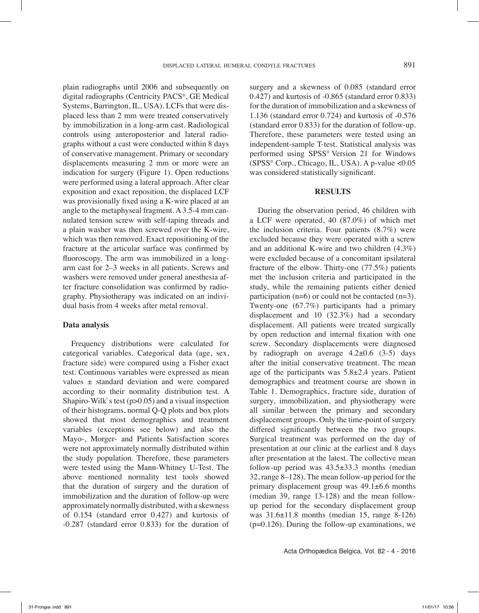plain radiographs until 2006 and subsequently on digital radiographs (Centricity PACS®, GE Medical Systems, Barrington, IL, USA). LCFs that were displaced less than 2 mm were treated conservatively by immobilization in a long-arm cast. Radiological controls using anteroposterior and lateral radiographs without a cast were conducted within 8 days of conservative management. Primary or secondary displacements measuring 2 mm or more were an indication for surgery (Figure 1). Open reductions were performed using a lateral approach. After clear exposition and exact reposition, the displaced LCF was provisionally fixed using a K-wire placed at an angle to the metaphyseal fragment. A 3.5-4 mm cannulated tension screw with self-taping threads and a plain washer was then screwed over the K-wire, which was then removed. Exact repositioning of the fracture at the articular surface was confirmed by fluoroscopy. The arm was immobilized in a longarm cast for 2–3 weeks in all patients. Screws and washers were removed under general anesthesia after fracture consolidation was confirmed by radiography. Physiotherapy was indicated on an individual basis from 4 weeks after metal removal.

#### **Data analysis**

Frequency distributions were calculated for categorical variables. Categorical data (age, sex, fracture side) were compared using a Fisher exact test. Continuous variables were expressed as mean values ± standard deviation and were compared according to their normality distribution test. A Shapiro-Wilk`s test  $(p>0.05)$  and a visual inspection of their histograms, normal Q-Q plots and box plots showed that most demographics and treatment variables (exceptions see below) and also the Mayo-, Morger- and Patients Satisfaction scores were not approximately normally distributed within the study population. Therefore, these parameters were tested using the Mann-Whitney U-Test. The above mentioned normality test tools showed that the duration of surgery and the duration of immobilization and the duration of follow-up were approximately normally distributed, with a skewness of 0.154 (standard error 0.427) and kurtosis of -0.287 (standard error 0.833) for the duration of

surgery and a skewness of 0.085 (standard error 0.427) and kurtosis of -0.865 (standard error 0.833) for the duration of immobilization and a skewness of 1.136 (standard error 0.724) and kurtosis of -0.576 (standard error 0.833) for the duration of follow-up. Therefore, these parameters were tested using an independent-sample T-test. Statistical analysis was performed using SPSS® Version 21 for Windows  $(SPSS^*$  Corp., Chicago, IL, USA). A p-value <0.05 was considered statistically significant.

#### **RESULTS**

During the observation period, 46 children with a LCF were operated, 40 (87.0%) of which met the inclusion criteria. Four patients (8.7%) were excluded because they were operated with a screw and an additional K-wire and two children (4.3%) were excluded because of a concomitant ipsilateral fracture of the elbow. Thirty-one (77.5%) patients met the inclusion criteria and participated in the study, while the remaining patients either denied participation (n=6) or could not be contacted (n=3). Twenty-one (67.7%) participants had a primary displacement and 10 (32.3%) had a secondary displacement. All patients were treated surgically by open reduction and internal fixation with one screw. Secondary displacements were diagnosed by radiograph on average  $4.2\pm0.6$  (3-5) days after the initial conservative treatment. The mean age of the participants was 5.8±2.4 years. Patient demographics and treatment course are shown in Table 1. Demographics, fracture side, duration of surgery, immobilization, and physiotherapy were all similar between the primary and secondary displacement groups. Only the time-point of surgery differed significantly between the two groups. Surgical treatment was performed on the day of presentation at our clinic at the earliest and 8 days after presentation at the latest. The collective mean follow-up period was 43.5±33.3 months (median 32, range 8–128). The mean follow-up period for the primary displacement group was 49.1±6.6 months (median 39, range 13-128) and the mean followup period for the secondary displacement group was 31.6±11.8 months (median 15, range 8-126)  $(p=0.126)$ . During the follow-up examinations, we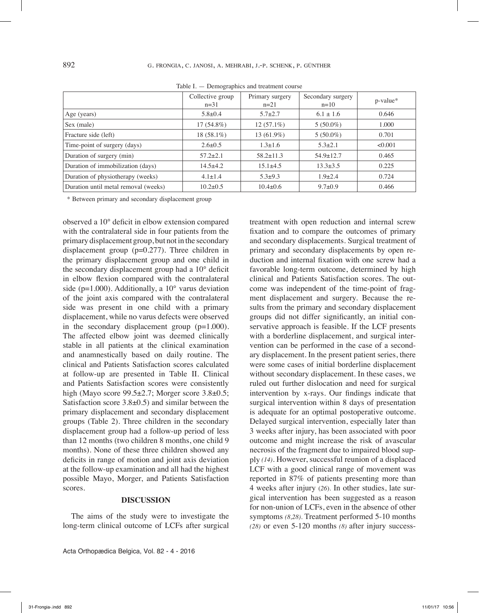|                                      | Collective group<br>$n=31$ | Primary surgery<br>$n=21$ | Secondary surgery<br>$n=10$ | p-value* |
|--------------------------------------|----------------------------|---------------------------|-----------------------------|----------|
| Age (years)                          | $5.8 \pm 0.4$              | $5.7 \pm 2.7$             | $6.1 \pm 1.6$               | 0.646    |
| Sex (male)                           | $17(54.8\%)$               | $12(57.1\%)$              | $5(50.0\%)$                 | 1.000    |
| Fracture side (left)                 | $18(58.1\%)$               | 13 (61.9%)                | $5(50.0\%)$                 | 0.701    |
| Time-point of surgery (days)         | $2.6 \pm 0.5$              | $1.3 + 1.6$               | $5.3 \pm 2.1$               | < 0.001  |
| Duration of surgery (min)            | $57.2 + 2.1$               | $58.2 + 11.3$             | $54.9 \pm 12.7$             | 0.465    |
| Duration of immobilization (days)    | $14.5+4.2$                 | $15.1\pm4.5$              | $13.3 \pm 3.5$              | 0.225    |
| Duration of physiotherapy (weeks)    | $4.1 \pm 1.4$              | $5.3 + 9.3$               | $1.9{\pm}2.4$               | 0.724    |
| Duration until metal removal (weeks) | $10.2 \pm 0.5$             | $10.4 \pm 0.6$            | $9.7 \pm 0.9$               | 0.466    |

Table I. — Demographics and treatment course

\* Between primary and secondary displacement group

observed a 10° deficit in elbow extension compared with the contralateral side in four patients from the primary displacement group, but not in the secondary displacement group (p=0.277). Three children in the primary displacement group and one child in the secondary displacement group had a 10° deficit in elbow flexion compared with the contralateral side ( $p=1.000$ ). Additionally, a  $10^{\circ}$  varus deviation of the joint axis compared with the contralateral side was present in one child with a primary displacement, while no varus defects were observed in the secondary displacement group  $(p=1.000)$ . The affected elbow joint was deemed clinically stable in all patients at the clinical examination and anamnestically based on daily routine. The clinical and Patients Satisfaction scores calculated at follow-up are presented in Table II. Clinical and Patients Satisfaction scores were consistently high (Mayo score 99.5±2.7; Morger score 3.8±0.5; Satisfaction score  $3.8\pm0.5$ ) and similar between the primary displacement and secondary displacement groups (Table 2). Three children in the secondary displacement group had a follow-up period of less than 12 months (two children 8 months, one child 9 months). None of these three children showed any deficits in range of motion and joint axis deviation at the follow-up examination and all had the highest possible Mayo, Morger, and Patients Satisfaction scores.

#### **DISCUSSION**

The aims of the study were to investigate the long-term clinical outcome of LCFs after surgical

Acta Orthopædica Belgica, Vol. 82 - 4 - 2016

treatment with open reduction and internal screw fixation and to compare the outcomes of primary and secondary displacements. Surgical treatment of primary and secondary displacements by open reduction and internal fixation with one screw had a favorable long-term outcome, determined by high clinical and Patients Satisfaction scores. The outcome was independent of the time-point of fragment displacement and surgery. Because the results from the primary and secondary displacement groups did not differ significantly, an initial conservative approach is feasible. If the LCF presents with a borderline displacement, and surgical intervention can be performed in the case of a secondary displacement. In the present patient series, there were some cases of initial borderline displacement without secondary displacement. In these cases, we ruled out further dislocation and need for surgical intervention by x-rays. Our findings indicate that surgical intervention within 8 days of presentation is adequate for an optimal postoperative outcome. Delayed surgical intervention, especially later than 3 weeks after injury, has been associated with poor outcome and might increase the risk of avascular necrosis of the fragment due to impaired blood supply *(14)*. However, successful reunion of a displaced LCF with a good clinical range of movement was reported in 87% of patients presenting more than 4 weeks after injury (*26*). In other studies, late surgical intervention has been suggested as a reason for non-union of LCFs, even in the absence of other symptoms *(8,28)*. Treatment performed 5-10 months *(28)* or even 5-120 months *(8)* after injury success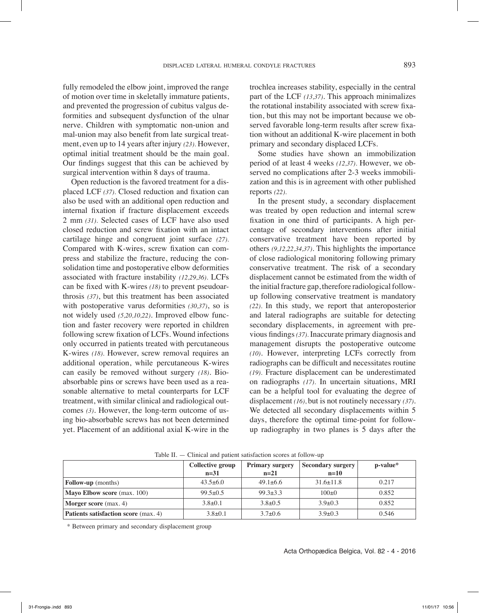fully remodeled the elbow joint, improved the range of motion over time in skeletally immature patients, and prevented the progression of cubitus valgus deformities and subsequent dysfunction of the ulnar nerve. Children with symptomatic non-union and mal-union may also benefit from late surgical treatment, even up to 14 years after injury *(23)*. However, optimal initial treatment should be the main goal. Our findings suggest that this can be achieved by surgical intervention within 8 days of trauma.

Open reduction is the favored treatment for a displaced LCF *(37)*. Closed reduction and fixation can also be used with an additional open reduction and internal fixation if fracture displacement exceeds 2 mm *(31)*. Selected cases of LCF have also used closed reduction and screw fixation with an intact cartilage hinge and congruent joint surface *(27)*. Compared with K-wires, screw fixation can compress and stabilize the fracture, reducing the consolidation time and postoperative elbow deformities associated with fracture instability *(12,29,36)*. LCFs can be fixed with K-wires *(18)* to prevent pseudoarthrosis *(37)*, but this treatment has been associated with postoperative varus deformities *(30,37)*, so is not widely used *(5,20,10,22)*. Improved elbow function and faster recovery were reported in children following screw fixation of LCFs. Wound infections only occurred in patients treated with percutaneous K-wires *(18)*. However, screw removal requires an additional operation, while percutaneous K-wires can easily be removed without surgery *(18)*. Bioabsorbable pins or screws have been used as a reasonable alternative to metal counterparts for LCF treatment, with similar clinical and radiological outcomes *(3)*. However, the long-term outcome of using bio-absorbable screws has not been determined yet. Placement of an additional axial K-wire in the trochlea increases stability, especially in the central part of the LCF *(13,37)*. This approach minimalizes the rotational instability associated with screw fixation, but this may not be important because we observed favorable long-term results after screw fixation without an additional K-wire placement in both primary and secondary displaced LCFs.

Some studies have shown an immobilization period of at least 4 weeks *(12,37)*. However, we observed no complications after 2-3 weeks immobilization and this is in agreement with other published reports *(22)*.

In the present study, a secondary displacement was treated by open reduction and internal screw fixation in one third of participants. A high percentage of secondary interventions after initial conservative treatment have been reported by others *(9,12,22,34,37)*. This highlights the importance of close radiological monitoring following primary conservative treatment. The risk of a secondary displacement cannot be estimated from the width of the initial fracture gap, therefore radiological followup following conservative treatment is mandatory *(22)*. In this study, we report that anteroposterior and lateral radiographs are suitable for detecting secondary displacements, in agreement with previous findings *(37)*. Inaccurate primary diagnosis and management disrupts the postoperative outcome *(10)*. However, interpreting LCFs correctly from radiographs can be difficult and necessitates routine *(19)*. Fracture displacement can be underestimated on radiographs *(17)*. In uncertain situations, MRI can be a helpful tool for evaluating the degree of displacement *(16)*, but is not routinely necessary *(37)*. We detected all secondary displacements within 5 days, therefore the optimal time-point for followup radiography in two planes is 5 days after the

|                                             | Collective group<br>$n=31$ | <b>Primary surgery</b><br>$n=21$ | <b>Secondary surgery</b><br>$n=10$ | p-value* |
|---------------------------------------------|----------------------------|----------------------------------|------------------------------------|----------|
| <b>Follow-up</b> (months)                   | $43.5 \pm 6.0$             | $49.1 + 6.6$                     | $31.6 \pm 11.8$                    | 0.217    |
| Mayo Elbow score (max. 100)                 | $99.5 \pm 0.5$             | $99.3 \pm 3.3$                   | $100\pm 0$                         | 0.852    |
| <b>Morger score</b> (max. 4)                | $3.8 \pm 0.1$              | $3.8 \pm 0.5$                    | $3.9 + 0.3$                        | 0.852    |
| <b>Patients satisfaction score</b> (max. 4) | $3.8 \pm 0.1$              | $3.7 \pm 0.6$                    | $3.9 \pm 0.3$                      | 0.546    |

Table II. — Clinical and patient satisfaction scores at follow-up

\* Between primary and secondary displacement group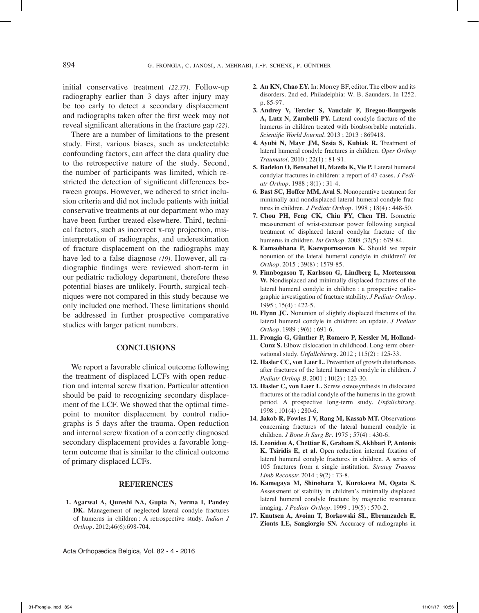initial conservative treatment *(22,37)*. Follow-up radiography earlier than 3 days after injury may be too early to detect a secondary displacement and radiographs taken after the first week may not reveal significant alterations in the fracture gap *(22)*.

There are a number of limitations to the present study. First, various biases, such as undetectable confounding factors, can affect the data quality due to the retrospective nature of the study. Second, the number of participants was limited, which restricted the detection of significant differences between groups. However, we adhered to strict inclusion criteria and did not include patients with initial conservative treatments at our department who may have been further treated elsewhere. Third, technical factors, such as incorrect x-ray projection, misinterpretation of radiographs, and underestimation of fracture displacement on the radiographs may have led to a false diagnose *(19)*. However, all radiographic findings were reviewed short-term in our pediatric radiology department, therefore these potential biases are unlikely. Fourth, surgical techniques were not compared in this study because we only included one method. These limitations should be addressed in further prospective comparative studies with larger patient numbers.

# **CONCLUSIONS**

We report a favorable clinical outcome following the treatment of displaced LCFs with open reduction and internal screw fixation. Particular attention should be paid to recognizing secondary displacement of the LCF. We showed that the optimal timepoint to monitor displacement by control radiographs is 5 days after the trauma. Open reduction and internal screw fixation of a correctly diagnosed secondary displacement provides a favorable longterm outcome that is similar to the clinical outcome of primary displaced LCFs.

# **REFERENCES**

**1. Agarwal A, Qureshi NA, Gupta N, Verma I, Pandey DK.** Management of neglected lateral condyle fractures of humerus in children : A retrospective study. *Indian J Orthop*. 2012;46(6):698-704.

- **2. An KN, Chao EY.** In: Morrey BF, editor. The elbow and its disorders. 2nd ed. Philadelphia: W. B. Saunders. In 1252. p. 85-97.
- **3. Andrey V, Tercier S, Vauclair F, Bregou-Bourgeois A, Lutz N, Zambelli PY.** Lateral condyle fracture of the humerus in children treated with bioabsorbable materials. *Scientific World Journal*. 2013 ; 2013 : 869418.
- **4. Ayubi N, Mayr JM, Sesia S, Kubiak R.** Treatment of lateral humeral condyle fractures in children. *Oper Orthop Traumatol*. 2010 ; 22(1) : 81-91.
- **5. Badelon O, Bensahel H, Mazda K, Vie P.** Lateral humeral condylar fractures in children: a report of 47 cases. *J Pediatr Orthop*. 1988 ; 8(1) : 31-4.
- **6. Bast SC, Hoffer MM, Aval S.** Nonoperative treatment for minimally and nondisplaced lateral humeral condyle fractures in children. *J Pediatr Orthop*. 1998 ; 18(4) : 448-50.
- **7. Chou PH, Feng CK, Chiu FY, Chen TH.** Isometric measurement of wrist-extensor power following surgical treatment of displaced lateral condylar fracture of the humerus in children. *Int Orthop.* 2008 ;32(5) : 679-84.
- **8. Eamsobhana P, Kaewpornsawan K.** Should we repair nonunion of the lateral humeral condyle in children? *Int Orthop.* 2015 ; 39(8) : 1579-85.
- **9. Finnbogason T, Karlsson G, Lindberg L, Mortensson W.** Nondisplaced and minimally displaced fractures of the lateral humeral condyle in children : a prospective radiographic investigation of fracture stability. *J Pediatr Orthop*. 1995 ; 15(4) : 422-5.
- **10. Flynn JC.** Nonunion of slightly displaced fractures of the lateral humeral condyle in children: an update. *J Pediatr Orthop.* 1989 ; 9(6) : 691-6.
- **11. Frongia G, Günther P, Romero P, Kessler M, Holland-Cunz S.** Elbow dislocation in childhood. Long-term observational study. *Unfallchirurg*. 2012 ; 115(2) : 125-33.
- **12. Hasler CC, von Laer L.** Prevention of growth disturbances after fractures of the lateral humeral condyle in children. *J Pediatr Orthop B*. 2001 ; 10(2) : 123-30.
- **13. Hasler C, von Laer L.** Screw osteosynthesis in dislocated fractures of the radial condyle of the humerus in the growth period. A prospective long-term study. *Unfallchirurg*. 1998 ; 101(4) : 280-6.
- **14. Jakob R, Fowles J V, Rang M, Kassab MT.** Observations concerning fractures of the lateral humeral condyle in children. *J Bone Jt Surg Br*. 1975 ; 57(4) : 430-6.
- **15. Leonidou A, Chettiar K, Graham S, Akhbari P, Antonis K, Tsiridis E, et al.** Open reduction internal fixation of lateral humeral condyle fractures in children. A series of 105 fractures from a single institution. *Strateg Trauma Limb Reconstr.* 2014 ; 9(2) : 73-8.
- **16. Kamegaya M, Shinohara Y, Kurokawa M, Ogata S.** Assessment of stability in children's minimally displaced lateral humeral condyle fracture by magnetic resonance imaging. *J Pediatr Orthop*. 1999 ; 19(5) : 570-2.
- **17. Knutsen A, Avoian T, Borkowski SL, Ebramzadeh E, Zionts LE, Sangiorgio SN.** Accuracy of radiographs in